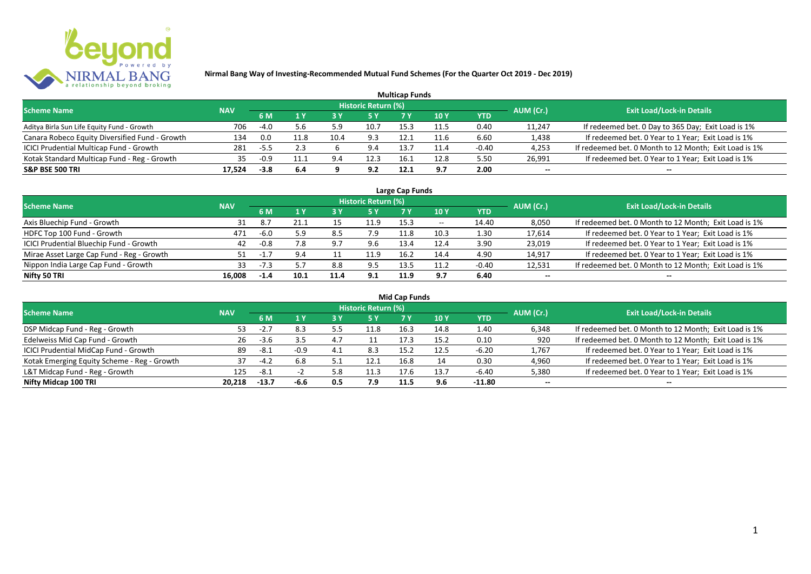

| <b>Multicap Funds</b>                          |            |        |      |      |                     |      |      |         |           |                                                       |  |  |  |
|------------------------------------------------|------------|--------|------|------|---------------------|------|------|---------|-----------|-------------------------------------------------------|--|--|--|
| <b>Scheme Name</b>                             | <b>NAV</b> |        |      |      | Historic Return (%) |      |      |         | AUM (Cr.) | <b>Exit Load/Lock-in Details</b>                      |  |  |  |
|                                                |            | 6 M    |      |      |                     |      | 10 Y | YTD     |           |                                                       |  |  |  |
| Aditya Birla Sun Life Equity Fund - Growth     | 706        | -4.0   | 5.6  | 5.9  | 10.7                | 15.3 | 11.5 | 0.40    | 11,247    | If redeemed bet. 0 Day to 365 Day; Exit Load is 1%    |  |  |  |
| Canara Robeco Equity Diversified Fund - Growth | 134        | 0.0    | 11.8 | 10.4 | 9.3                 | 12.1 |      | 6.60    | 1,438     | If redeemed bet. 0 Year to 1 Year; Exit Load is 1%    |  |  |  |
| ICICI Prudential Multicap Fund - Growth        | 281        | -5.5   | 2.3  |      | 9.4                 | 13.  |      | $-0.40$ | 4,253     | If redeemed bet. 0 Month to 12 Month; Exit Load is 1% |  |  |  |
| Kotak Standard Multicap Fund - Reg - Growth    | 35         | -0.9   |      | 9.4  | 12.3                | 16.1 | 12.8 | 5.50    | 26,991    | If redeemed bet. 0 Year to 1 Year; Exit Load is 1%    |  |  |  |
| <b>S&amp;P BSE 500 TRI</b>                     | 17.524     | $-3.8$ | 6.4  |      | 9.2                 | 12.1 | 9.7  | 2.00    | --        | $- -$                                                 |  |  |  |

| Large Cap Funds                           |            |        |      |      |                            |      |            |         |           |                                                       |  |  |  |
|-------------------------------------------|------------|--------|------|------|----------------------------|------|------------|---------|-----------|-------------------------------------------------------|--|--|--|
| <b>Scheme Name</b>                        | <b>NAV</b> |        |      |      | <b>Historic Return (%)</b> |      |            |         | AUM (Cr.) | <b>Exit Load/Lock-in Details</b>                      |  |  |  |
|                                           |            | 6 M    |      |      | 5 Y                        |      | <b>10Y</b> | YTD     |           |                                                       |  |  |  |
| Axis Bluechip Fund - Growth               | 31         | 8.7    |      |      | 11.9                       | 15.3 | $- -$      | 14.40   | 8,050     | If redeemed bet. 0 Month to 12 Month; Exit Load is 1% |  |  |  |
| HDFC Top 100 Fund - Growth                | 471        | -6.0   | 5.9  | 8.5  | 7.9                        | 11.8 | 10.3       | 1.30    | 17,614    | If redeemed bet. 0 Year to 1 Year; Exit Load is 1%    |  |  |  |
| ICICI Prudential Bluechip Fund - Growth   | 42         | $-0.8$ | 7.8  | 9.7  | 9.6                        | 13.4 | 12.4       | 3.90    | 23,019    | If redeemed bet. 0 Year to 1 Year; Exit Load is 1%    |  |  |  |
| Mirae Asset Large Cap Fund - Reg - Growth | 51         |        | 9.4  |      | 11.9                       | 16.2 | 14.4       | 4.90    | 14,917    | If redeemed bet. 0 Year to 1 Year; Exit Load is 1%    |  |  |  |
| Nippon India Large Cap Fund - Growth      | 33         |        |      | 8.8  | 9.5                        | 13.5 | 11.2       | $-0.40$ | 12,531    | If redeemed bet. 0 Month to 12 Month; Exit Load is 1% |  |  |  |
| Nifty 50 TRI                              | 16.008     | $-1.4$ | 10.1 | 11.4 | 9.1                        | 11.9 | 9.7        | 6.40    | $- -$     | $- -$                                                 |  |  |  |

| <b>Mid Cap Funds</b>                        |            |            |        |      |                            |      |      |          |           |                                                       |  |  |  |
|---------------------------------------------|------------|------------|--------|------|----------------------------|------|------|----------|-----------|-------------------------------------------------------|--|--|--|
| <b>Scheme Name</b>                          | <b>NAV</b> |            |        |      | <b>Historic Return (%)</b> |      |      |          | AUM (Cr.) | <b>Exit Load/Lock-in Details</b>                      |  |  |  |
|                                             |            | 6 M<br>5 Y |        | 10 Y | <b>YTD</b>                 |      |      |          |           |                                                       |  |  |  |
| DSP Midcap Fund - Reg - Growth              | 53.        | -2.,       | -8.3   | ر. ر | 11.8                       | 16.3 | 14.8 | 1.40     | 6,348     | If redeemed bet. 0 Month to 12 Month; Exit Load is 1% |  |  |  |
| Edelweiss Mid Cap Fund - Growth             | 26         | $-3.6$     | 3.5    | 4.7  | 11                         | 17.3 | 15.2 | 0.10     | 920       | If redeemed bet. 0 Month to 12 Month; Exit Load is 1% |  |  |  |
| ICICI Prudential MidCap Fund - Growth       | 89         | $-8.1$     | $-0.9$ | 4.1  | 8.3                        | 15.2 | 12.5 | $-6.20$  | 1,767     | If redeemed bet. 0 Year to 1 Year; Exit Load is 1%    |  |  |  |
| Kotak Emerging Equity Scheme - Reg - Growth | 31         |            | 6.8    |      | 12.1                       | 16.8 | 14   | 0.30     | 4,960     | If redeemed bet. 0 Year to 1 Year; Exit Load is 1%    |  |  |  |
| L&T Midcap Fund - Reg - Growth              | 125        | $-8.1$     |        | 5.8  | 11.3                       | 17.6 | 13.7 | -6.40    | 5,380     | If redeemed bet. 0 Year to 1 Year; Exit Load is 1%    |  |  |  |
| Nifty Midcap 100 TRI                        | 20.218     | $-13.7$    | -6.6   | 0.5  | 7.9                        | 11.5 | 9.6  | $-11.80$ | $- -$     | $- -$                                                 |  |  |  |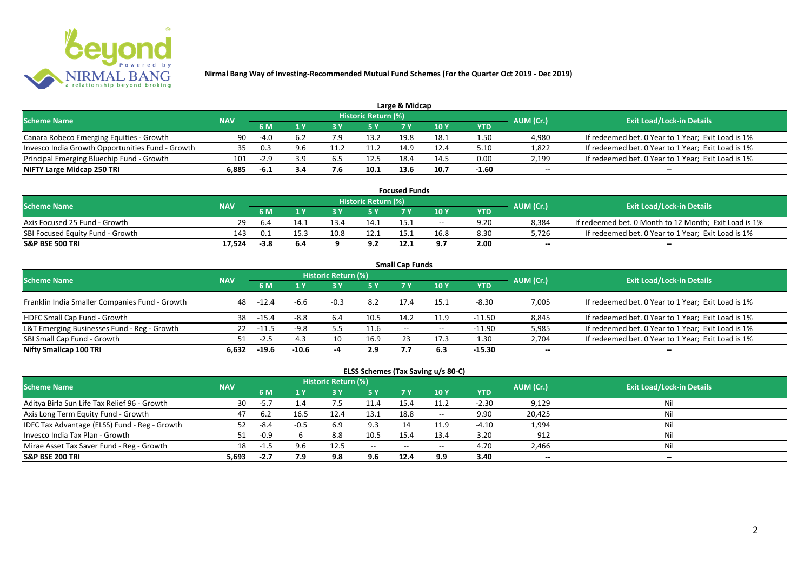

|                                                  |            |        |     |     |                            | Large & Midcap |      |         |           |                                                    |
|--------------------------------------------------|------------|--------|-----|-----|----------------------------|----------------|------|---------|-----------|----------------------------------------------------|
| <b>Scheme Name</b>                               | <b>NAV</b> |        |     |     | <b>Historic Return (%)</b> |                |      |         | AUM (Cr.) | <b>Exit Load/Lock-in Details</b>                   |
|                                                  |            | 6 M    |     |     | 5 Y                        |                |      | YTD     |           |                                                    |
| Canara Robeco Emerging Equities - Growth         | 90         | $-4.0$ |     |     | 13.2                       | 19.8           | 18.1 | 1.50    | 4.980     | If redeemed bet. 0 Year to 1 Year; Exit Load is 1% |
| Invesco India Growth Opportunities Fund - Growth | 35.        | 0.3    |     |     |                            | 149            | 12.4 | 5.10    | 1,822     | If redeemed bet. 0 Year to 1 Year; Exit Load is 1% |
| Principal Emerging Bluechip Fund - Growth        | 101        | $-2.9$ | 3.9 | 6.5 | 12.5                       | 18.4           | 14.5 | 0.00    | 2,199     | If redeemed bet. 0 Year to 1 Year; Exit Load is 1% |
| NIFTY Large Midcap 250 TRI                       | 6.885      | -6.1   | 3.4 | 7.Ь | 10.1                       | 13.6           | 10.7 | $-1.60$ | $- -$     | $- -$                                              |

| <b>Focused Funds</b>             |                   |        |      |      |                            |      |       |      |           |                                                       |  |  |
|----------------------------------|-------------------|--------|------|------|----------------------------|------|-------|------|-----------|-------------------------------------------------------|--|--|
| <b>Scheme Name</b>               |                   |        |      |      | <b>Historic Return (%)</b> |      |       |      | AUM (Cr.) | <b>Exit Load/Lock-in Details</b>                      |  |  |
|                                  | <b>NAV</b><br>6 M |        |      |      |                            |      | 10 Y  | YTD  |           |                                                       |  |  |
| Axis Focused 25 Fund - Growth    | 29.               | -6.4   | 14.1 | 13.4 | 14.1                       | 15.1 | $- -$ | 9.20 | 8,384     | If redeemed bet. 0 Month to 12 Month; Exit Load is 1% |  |  |
| SBI Focused Equity Fund - Growth | 143               | -0.1   | 15.3 | 10.8 | 12.1                       | 15.  | 16.8  | 8.30 | 5,726     | If redeemed bet. 0 Year to 1 Year; Exit Load is 1%    |  |  |
| <b>S&amp;P BSE 500 TRI</b>       | 17.524            | $-3.8$ | 6.4  |      | 9.2                        | 12.1 | 9.7   | 2.00 | $- -$     | $-$                                                   |  |  |

| <b>Small Cap Funds</b>                         |            |         |         |                     |      |                          |                          |            |           |                                                    |  |  |  |
|------------------------------------------------|------------|---------|---------|---------------------|------|--------------------------|--------------------------|------------|-----------|----------------------------------------------------|--|--|--|
| <b>Scheme Name</b>                             | <b>NAV</b> |         |         | Historic Return (%) |      |                          |                          |            | AUM (Cr.) | <b>Exit Load/Lock-in Details</b>                   |  |  |  |
|                                                |            |         |         |                     | 5 Y  | 7 Y                      | 710Y                     | <b>YTD</b> |           |                                                    |  |  |  |
| Franklin India Smaller Companies Fund - Growth | 48         | $-12.4$ | -6.6    | $-0.3$              | 8.2  | 17.4                     | 15.1                     | $-8.30$    | 7,005     | If redeemed bet. 0 Year to 1 Year; Exit Load is 1% |  |  |  |
| HDFC Small Cap Fund - Growth                   | 38         | -15.4   | $-8.8$  | 6.4                 | 10.5 | 14.2                     | 11.9                     | -11.50     | 8,845     | If redeemed bet. 0 Year to 1 Year; Exit Load is 1% |  |  |  |
| L&T Emerging Businesses Fund - Reg - Growth    | 22         | -11.5   | $-9.8$  | 5.5                 | 11.6 | $\overline{\phantom{a}}$ | $\hspace{0.05cm} \cdots$ | $-11.90$   | 5,985     | If redeemed bet. 0 Year to 1 Year; Exit Load is 1% |  |  |  |
| SBI Small Cap Fund - Growth                    |            | $-2.5$  | 4.3     |                     | 16.9 |                          | 17.3                     | 1.30       | 2,704     | If redeemed bet. 0 Year to 1 Year; Exit Load is 1% |  |  |  |
| Nifty Smallcap 100 TRI                         | 6.632      | $-19.6$ | $-10.6$ |                     | 2.9  |                          | 6.3                      | $-15.30$   | $- -$     | --                                                 |  |  |  |

## **ELSS Schemes (Tax Saving u/s 80-C)**

| <b>Scheme Name</b>                            | <b>NAV</b> |        |          | <b>Historic Return (%)</b> |           |       |            |         | AUM (Cr.) | <b>Exit Load/Lock-in Details</b> |
|-----------------------------------------------|------------|--------|----------|----------------------------|-----------|-------|------------|---------|-----------|----------------------------------|
|                                               |            | 6 M    |          |                            | <b>5Y</b> | 7 Y   | <b>10Y</b> | YTD     |           |                                  |
| Aditya Birla Sun Life Tax Relief 96 - Growth  | 30         | $-5.7$ | $\pm .4$ |                            | 11.4      | 15.4  | 11.2       | $-2.30$ | 9,129     | Nil                              |
| Axis Long Term Equity Fund - Growth           | 47         | 6.2    | 16.5     | 12.4                       | 13.1      | 18.8  | $- -$      | 9.90    | 20,425    | Nil                              |
| IDFC Tax Advantage (ELSS) Fund - Reg - Growth |            | -8.4   | $-0.5$   | 6.9                        | 9.3       |       | 11.9       | $-4.10$ | 1,994     | Nil                              |
| Invesco India Tax Plan - Growth               | 51         | $-0.9$ |          | 8.8                        | 10.5      | 15.4  | 13.4       | 3.20    | 912       | Nil                              |
| Mirae Asset Tax Saver Fund - Reg - Growth     | 18         | -1.5   | 9.6      | 12.5                       | $  \,$    | $- -$ | $- -$      | 4.70    | 2,466     | Nil                              |
| <b>S&amp;P BSE 200 TRI</b>                    | 5,693      | $-2.7$ | 7.9      | 9.8                        | 9.6       | 12.4  | 9.9        | 3.40    | $- -$     | $- -$                            |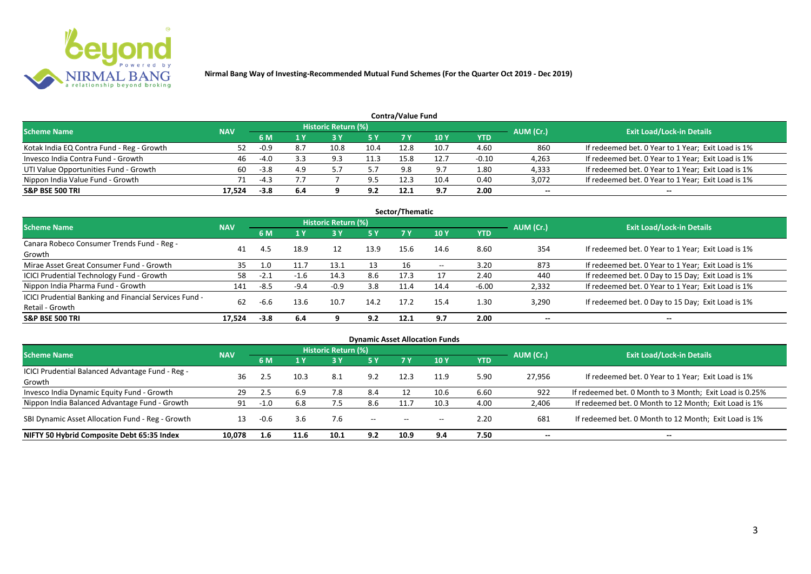

|                                           |            |        |     |                            |            | Contra/Value Fund |             |         |           |                                                    |
|-------------------------------------------|------------|--------|-----|----------------------------|------------|-------------------|-------------|---------|-----------|----------------------------------------------------|
| <b>Scheme Name</b>                        | <b>NAV</b> |        |     | <b>Historic Return (%)</b> |            |                   |             |         | AUM (Cr.) | <b>Exit Load/Lock-in Details</b>                   |
|                                           |            | 6 M    |     |                            | <b>5 Y</b> | 7 V               | <b>10 Y</b> | YTD     |           |                                                    |
| Kotak India EQ Contra Fund - Reg - Growth | 52         | $-0.9$ | 8.7 | 10.8                       | 10.4       | 12.8              | 10.7        | 4.60    | 860       | If redeemed bet. 0 Year to 1 Year; Exit Load is 1% |
| Invesco India Contra Fund - Growth        | 46         | $-4.0$ |     | 9.3                        | 11.3       | 15.8              | 12.7        | $-0.10$ | 4,263     | If redeemed bet. 0 Year to 1 Year; Exit Load is 1% |
| UTI Value Opportunities Fund - Growth     | 60         | $-3.8$ | 4.9 |                            |            | 9.8               | 9.7         | 1.80    | 4,333     | If redeemed bet. 0 Year to 1 Year; Exit Load is 1% |
| Nippon India Value Fund - Growth          | 71         | $-4.3$ |     |                            | 9.5        | 12.3              | 10.4        | 0.40    | 3,072     | If redeemed bet. 0 Year to 1 Year; Exit Load is 1% |
| <b>S&amp;P BSE 500 TRI</b>                | 17.524     | $-3.8$ | 6.4 |                            | 9.2        | 12.1              | 9.7         | 2.00    | $- -$     | $- -$                                              |

|                                                        |            |        |        |                            |           | Sector/Thematic |       |         |           |                                                    |
|--------------------------------------------------------|------------|--------|--------|----------------------------|-----------|-----------------|-------|---------|-----------|----------------------------------------------------|
| <b>Scheme Name</b>                                     | <b>NAV</b> |        |        | <b>Historic Return (%)</b> |           |                 |       |         | AUM (Cr.) | <b>Exit Load/Lock-in Details</b>                   |
|                                                        |            | 6 M    | 1Y     | 73 Y                       | <b>5Y</b> | 7 Y             | 10Y   | YTD     |           |                                                    |
| Canara Robeco Consumer Trends Fund - Reg -             | 41         | 4.5    | 18.9   | 12                         | 13.9      | 15.6            | 14.6  | 8.60    | 354       | If redeemed bet. 0 Year to 1 Year; Exit Load is 1% |
| Growth                                                 |            |        |        |                            |           |                 |       |         |           |                                                    |
| Mirae Asset Great Consumer Fund - Growth               | 35         | 1.0    |        | 13.1                       | 13        |                 | $- -$ | 3.20    | 873       | If redeemed bet. 0 Year to 1 Year; Exit Load is 1% |
| <b>ICICI Prudential Technology Fund - Growth</b>       | 58         | $-2.1$ | $-1.6$ | 14.3                       | 8.6       | 17.3            |       | 2.40    | 440       | If redeemed bet. 0 Day to 15 Day; Exit Load is 1%  |
| Nippon India Pharma Fund - Growth                      | 141        | $-8.5$ | $-9.4$ | -0.9                       | 3.8       | 11.4            | 14.4  | $-6.00$ | 2,332     | If redeemed bet. 0 Year to 1 Year; Exit Load is 1% |
| ICICI Prudential Banking and Financial Services Fund - | 62         |        |        |                            | 14.2      | 17.2            | 15.4  |         |           |                                                    |
| Retail - Growth                                        |            | -6.6   | 13.6   | 10.7                       |           |                 |       | 1.30    | 3,290     | If redeemed bet. 0 Day to 15 Day; Exit Load is 1%  |
| <b>S&amp;P BSE 500 TRI</b>                             | 17.524     | $-3.8$ | 6.4    | q                          | 9.2       | 12.1            | 9.7   | 2.00    | --        | $- -$                                              |

|                                                  |            |      |      |                            |               |                                       | <b>Dynamic Asset Allocation Funds</b> |      |           |                                                         |
|--------------------------------------------------|------------|------|------|----------------------------|---------------|---------------------------------------|---------------------------------------|------|-----------|---------------------------------------------------------|
| <b>Scheme Name</b>                               | <b>NAV</b> |      |      | <b>Historic Return (%)</b> |               |                                       |                                       |      | AUM (Cr.) | <b>Exit Load/Lock-in Details</b>                        |
|                                                  |            | 6 M  | 1 Y  | 73 Y                       | 5 Y           | 7 Y                                   | <b>10Y</b>                            | YTD  |           |                                                         |
| ICICI Prudential Balanced Advantage Fund - Reg - | 36         |      | 10.3 | 8.1                        | 9.2           | 12.3                                  | 11.9                                  | 5.90 | 27,956    | If redeemed bet. 0 Year to 1 Year; Exit Load is 1%      |
| Growth                                           |            |      |      |                            |               |                                       |                                       |      |           |                                                         |
| Invesco India Dynamic Equity Fund - Growth       | 29         | 2.5  | 6.9  | 7.8                        | 8.4           |                                       | 10.6                                  | 6.60 | 922       | If redeemed bet. 0 Month to 3 Month; Exit Load is 0.25% |
| Nippon India Balanced Advantage Fund - Growth    | 91         |      | 6.8  |                            | 8.6           |                                       | 10.3                                  | 4.00 | 2,406     | If redeemed bet. 0 Month to 12 Month; Exit Load is 1%   |
| SBI Dynamic Asset Allocation Fund - Reg - Growth | 13         | -0.6 | 3.6  | 7.6                        | $\sim$ $\sim$ | $\hspace{0.05cm}$ – $\hspace{0.05cm}$ | $- -$                                 | 2.20 | 681       | If redeemed bet. 0 Month to 12 Month; Exit Load is 1%   |
| NIFTY 50 Hybrid Composite Debt 65:35 Index       | 10,078     | 1.6  |      | 10.1                       | 9.2           | 10.9                                  | 9.4                                   | 7.50 | $- -$     | $- -$                                                   |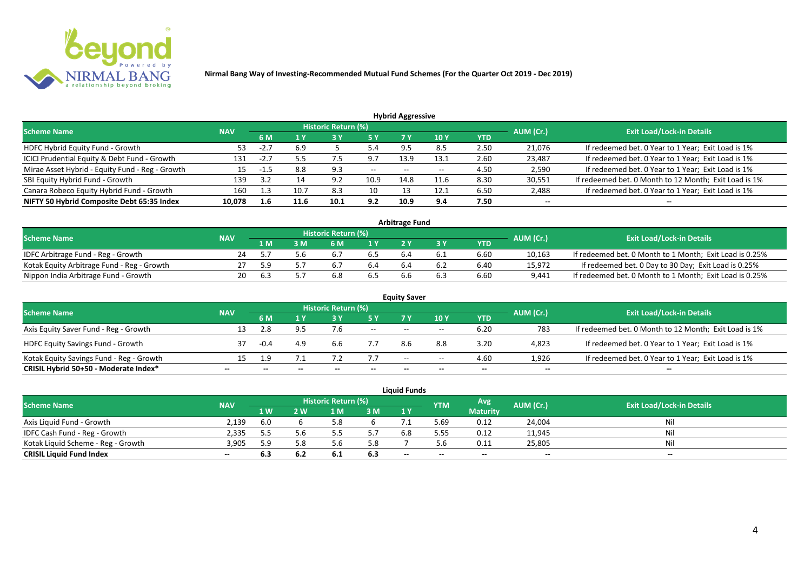

| <b>Hybrid Aggressive</b> |            |      |      |      |                            |       |            |        |                                                       |  |  |  |  |
|--------------------------|------------|------|------|------|----------------------------|-------|------------|--------|-------------------------------------------------------|--|--|--|--|
|                          |            |      |      |      |                            |       |            |        | <b>Exit Load/Lock-in Details</b>                      |  |  |  |  |
|                          | 6 M        |      |      | 5 Y  | 7 Y                        | 10Y   | <b>YTD</b> |        |                                                       |  |  |  |  |
| 53                       | $-2.7$     | 6.9  |      | 5.4  | 9.5                        | 8.5   | 2.50       | 21,076 | If redeemed bet. 0 Year to 1 Year; Exit Load is 1%    |  |  |  |  |
| 131                      | $-2.7$     |      | ر.,  | 9.7  | 13.9                       | 13.1  | 2.60       | 23,487 | If redeemed bet. 0 Year to 1 Year; Exit Load is 1%    |  |  |  |  |
| 15                       | -1.5       | 8.8  | 9.3  | $--$ | $- -$                      | $- -$ | 4.50       | 2,590  | If redeemed bet. 0 Year to 1 Year; Exit Load is 1%    |  |  |  |  |
| 139                      | 3.2        |      | 9.2  | 10.9 | 14.8                       | 11.6  | 8.30       | 30,551 | If redeemed bet. 0 Month to 12 Month; Exit Load is 1% |  |  |  |  |
| 160                      | 1.3        | 10.7 | 8.3  | 10   |                            | 12.1  | 6.50       | 2,488  | If redeemed bet. 0 Year to 1 Year; Exit Load is 1%    |  |  |  |  |
| 10,078                   | 1.6        | 11.6 | 10.1 | 9.2  | 10.9                       | 9.4   | 7.50       | $- -$  | --                                                    |  |  |  |  |
|                          | <b>NAV</b> |      |      |      | <b>Historic Return (%)</b> |       |            |        | AUM (Cr.)                                             |  |  |  |  |

| <b>Arbitrage Fund</b>                      |            |     |  |                     |     |  |  |      |           |                                                         |  |  |  |
|--------------------------------------------|------------|-----|--|---------------------|-----|--|--|------|-----------|---------------------------------------------------------|--|--|--|
| <b>Scheme Name</b>                         | <b>NAV</b> |     |  | Historic Return (%) |     |  |  |      | AUM (Cr.) | <b>Exit Load/Lock-in Details</b>                        |  |  |  |
|                                            |            | 1 M |  | 6 M                 | 1 Y |  |  | YTD  |           |                                                         |  |  |  |
| IDFC Arbitrage Fund - Reg - Growth         |            |     |  | $b_{11}$            | 6.S |  |  | 6.60 | 10,163    | If redeemed bet. 0 Month to 1 Month; Exit Load is 0.25% |  |  |  |
| Kotak Equity Arbitrage Fund - Reg - Growth |            | 5 Q |  |                     | 5.4 |  |  | 6.40 | 15,972    | If redeemed bet. 0 Day to 30 Day; Exit Load is 0.25%    |  |  |  |
| Nippon India Arbitrage Fund - Growth       |            |     |  | 6.8                 | ხ.5 |  |  | 6.60 | 9,441     | If redeemed bet. 0 Month to 1 Month; Exit Load is 0.25% |  |  |  |

| <b>Equity Saver</b>                      |            |        |     |                            |        |       |       |            |           |                                                       |  |  |  |
|------------------------------------------|------------|--------|-----|----------------------------|--------|-------|-------|------------|-----------|-------------------------------------------------------|--|--|--|
| <b>Scheme Name</b>                       | <b>NAV</b> |        |     | <b>Historic Return (%)</b> |        |       |       |            | AUM (Cr.) | <b>Exit Load/Lock-in Details</b>                      |  |  |  |
|                                          |            | 6 M    |     |                            | 5 Y    | 7V    | 10Y   | <b>YTD</b> |           |                                                       |  |  |  |
| Axis Equity Saver Fund - Reg - Growth    | 13         |        |     |                            | $\sim$ | $- -$ | $- -$ | 6.20       | 783       | If redeemed bet. 0 Month to 12 Month; Exit Load is 1% |  |  |  |
| <b>HDFC Equity Savings Fund - Growth</b> |            | $-0.4$ | 4.9 | b.b                        |        |       | 8.8   | 3.20       | 4,823     | If redeemed bet. 0 Year to 1 Year; Exit Load is 1%    |  |  |  |
| Kotak Equity Savings Fund - Reg - Growth | 15         | - q    |     |                            | 7.7    | $- -$ | $- -$ | 4.60       | 1.926     | If redeemed bet. 0 Year to 1 Year; Exit Load is 1%    |  |  |  |
| CRISIL Hybrid 50+50 - Moderate Index*    | $- -$      |        |     |                            |        | --    | $- -$ | $- -$      | $- -$     | $- -$                                                 |  |  |  |

|                                    |            |      |              |                     |     | Liauid Funds |            |                 |           |                                  |
|------------------------------------|------------|------|--------------|---------------------|-----|--------------|------------|-----------------|-----------|----------------------------------|
| <b>Scheme Name</b>                 | <b>NAV</b> |      |              | Historic Return (%) |     |              | <b>YTM</b> | Avg.            | AUM (Cr.) | <b>Exit Load/Lock-in Details</b> |
|                                    |            | 1 W  | $\mathbf{w}$ | 1 M                 | 3 M | 1Y           |            | <b>Maturity</b> |           |                                  |
| Axis Liquid Fund - Growth          | 2,139      | -6.0 |              |                     |     |              | 5.69       | 0.12            | 24,004    | Nil                              |
| IDFC Cash Fund - Reg - Growth      | 2.335      |      | 5.6          |                     | 57  | 6.8          | 5.55       | 0.12            | 11,945    | Nil                              |
| Kotak Liquid Scheme - Reg - Growth | 3,905      | 59   | 5.8          |                     | 5.8 |              |            | 0.11            | 25,805    | Nil                              |
| <b>CRISIL Liquid Fund Index</b>    | $- -$      | 6.3  | 6.2          | 6.1                 | 6.3 | $-$          | $- -$      | $-$             | $- -$     | $- -$                            |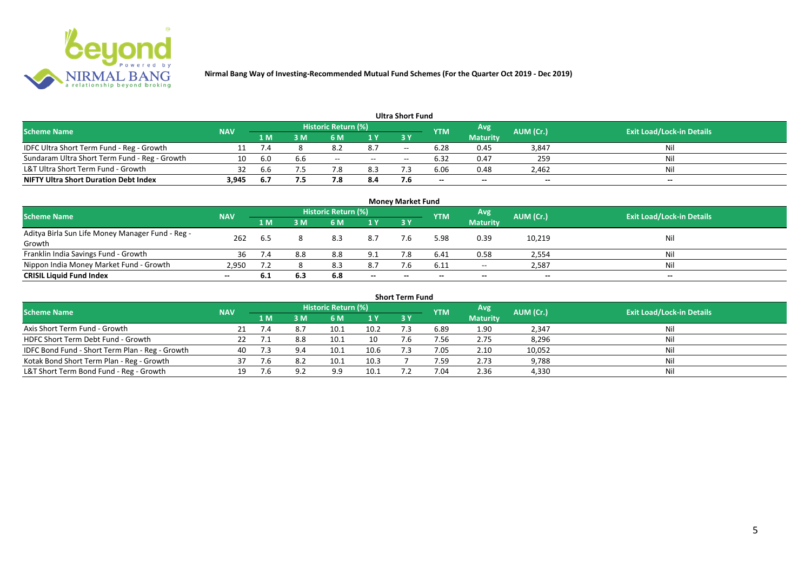

|                                               |            |      |     |                     |       | <b>Ultra Short Fund</b> |                          |                 |                          |                                  |
|-----------------------------------------------|------------|------|-----|---------------------|-------|-------------------------|--------------------------|-----------------|--------------------------|----------------------------------|
| <b>Scheme Name</b>                            | <b>NAV</b> |      |     | Historic Return (%) |       |                         | <b>YTM</b>               | Avg             | AUM (Cr.)                | <b>Exit Load/Lock-in Details</b> |
|                                               |            | 1 M  | sм  | 6 M                 | 1 Y   | 73 Y                    |                          | <b>Maturity</b> |                          |                                  |
| IDFC Ultra Short Term Fund - Reg - Growth     |            |      |     | O.A                 | 8.7   | $- -$                   | 6.28                     | 0.45            | 3,847                    | Nil                              |
| Sundaram Ultra Short Term Fund - Reg - Growth | 10         | -6.0 | 6.b | $- -$               | $- -$ | $- -$                   | 6.32                     | 0.47            | 259                      | Nil                              |
| L&T Ultra Short Term Fund - Growth            |            | 6.6  |     |                     | 8.3   |                         | 6.06                     | 0.48            | 2,462                    | Nil                              |
| <b>NIFTY Ultra Short Duration Debt Index</b>  | 3,945      | -6.7 | 7.5 | י -                 | 8.4   |                         | $\overline{\phantom{a}}$ | $-$             | $\overline{\phantom{a}}$ | $- -$                            |

|                                                  |            |     |     |                     |       | <b>Money Market Fund</b> |            |                 |           |                                  |
|--------------------------------------------------|------------|-----|-----|---------------------|-------|--------------------------|------------|-----------------|-----------|----------------------------------|
| <b>Scheme Name</b>                               | <b>NAV</b> |     |     | Historic Return (%) |       |                          | <b>YTM</b> | Avg             | AUM (Cr.) | <b>Exit Load/Lock-in Details</b> |
|                                                  |            | 1 M | 3 M | 6 M                 | 1Y    | 3Y                       |            | <b>Maturity</b> |           |                                  |
| Aditya Birla Sun Life Money Manager Fund - Reg - | 262        |     |     | 8.3                 | 8.7   | 7.6                      | 5.98       | 0.39            | 10,219    | Nil                              |
| Growth                                           |            | 6.5 |     |                     |       |                          |            |                 |           |                                  |
| Franklin India Savings Fund - Growth             | 36         |     | 8.8 | 8.8                 | 9.1   |                          | 6.41       | 0.58            | 2,554     | Nil                              |
| Nippon India Money Market Fund - Growth          | 2.950      |     |     | 8.3                 | 8.7   | 7.6                      | 6.11       | $\sim$ $\sim$   | 2,587     | Nil                              |
| <b>CRISIL Liquid Fund Index</b>                  | $- -$      | 6.1 | 6.3 | 6.8                 | $- -$ | $- -$                    | --         | $- -$           | $- -$     | $\overline{\phantom{a}}$         |

| <b>Short Term Fund</b>                          |            |      |     |                     |      |            |            |                 |           |                                  |  |  |  |
|-------------------------------------------------|------------|------|-----|---------------------|------|------------|------------|-----------------|-----------|----------------------------------|--|--|--|
| <b>Scheme Name</b>                              | <b>NAV</b> |      |     | Historic Return (%) |      |            | <b>YTM</b> | Avg             | AUM (Cr.) | <b>Exit Load/Lock-in Details</b> |  |  |  |
|                                                 |            | 1 M. | 3 M | 6 M                 | 1Y   | <b>3 Y</b> |            | <b>Maturity</b> |           |                                  |  |  |  |
| Axis Short Term Fund - Growth                   |            |      |     | 10.1                | 10.2 |            | 6.89       | 1.90            | 2,347     | Nil                              |  |  |  |
| HDFC Short Term Debt Fund - Growth              |            |      |     | 10.1                | 10   |            | 7.56       | 2.75            | 8,296     | Nil                              |  |  |  |
| IDFC Bond Fund - Short Term Plan - Reg - Growth | 40         | 7.3  | 9.4 | 10.1                | 10.6 |            | 7.05       | 2.10            | 10,052    | Nil                              |  |  |  |
| Kotak Bond Short Term Plan - Reg - Growth       | 37         | 7.6  | 8.2 | 10.1                | 10.3 |            | 7.59       | 2.73            | 9,788     | Nil                              |  |  |  |
| L&T Short Term Bond Fund - Reg - Growth         |            |      |     | 9.9                 | 10.1 |            | 7.04       | 2.36            | 4,330     | Nil                              |  |  |  |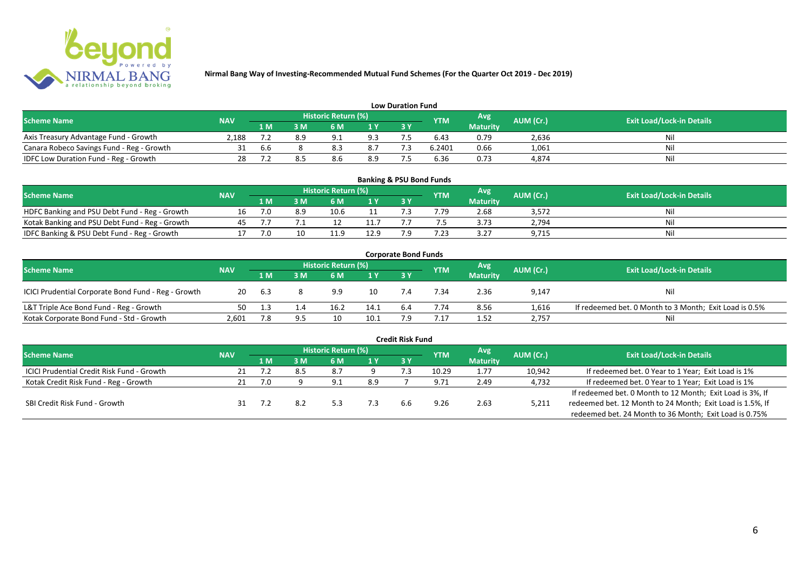

|                                           |            |     |    |                     |     | <b>Low Duration Fund</b> |            |                 |           |                                  |
|-------------------------------------------|------------|-----|----|---------------------|-----|--------------------------|------------|-----------------|-----------|----------------------------------|
| <b>Scheme Name</b>                        | <b>NAV</b> |     |    | Historic Return (%) |     |                          | <b>YTM</b> | Avg'            | AUM (Cr.) | <b>Exit Load/Lock-in Details</b> |
|                                           |            | 1 M | sм | 6 M                 | 1 Y | 3 Y                      |            | <b>Maturity</b> |           |                                  |
| Axis Treasury Advantage Fund - Growth     | 2.188      |     |    | Q                   | 9.3 |                          | 6.43       | 0.79            | 2,636     | Nil                              |
| Canara Robeco Savings Fund - Reg - Growth |            | b.b |    |                     | 8.7 |                          | 6.2401     | 0.66            | 1,061     | Nil                              |
| IDFC Low Duration Fund - Reg - Growth     |            |     |    |                     | 8.9 |                          | 6.36       | 0.73            | 4,874     | Nil                              |

| <b>Banking &amp; PSU Bond Funds</b>            |            |     |     |                            |      |     |            |                 |           |                                  |  |  |  |  |
|------------------------------------------------|------------|-----|-----|----------------------------|------|-----|------------|-----------------|-----------|----------------------------------|--|--|--|--|
| <b>Scheme Name</b>                             | <b>NAV</b> |     |     | <b>Historic Return (%)</b> |      |     | <b>YTM</b> | Avg             | AUM (Cr.) | <b>Exit Load/Lock-in Details</b> |  |  |  |  |
|                                                |            | 1 M | 8 M | 6 M                        |      | 3 Y |            | <b>Maturity</b> |           |                                  |  |  |  |  |
| HDFC Banking and PSU Debt Fund - Reg - Growth  |            | 7.0 | 8.9 |                            |      |     | 7.79       | 2.68            | 3,572     | Ni                               |  |  |  |  |
| Kotak Banking and PSU Debt Fund - Reg - Growth |            |     |     |                            |      |     |            | 3.73            | 2,794     | Ni                               |  |  |  |  |
| IDFC Banking & PSU Debt Fund - Reg - Growth    |            | 7.0 |     |                            | 12.9 |     | .23        | 3.27            | 9,715     | Nil                              |  |  |  |  |

| <b>Corporate Bond Funds</b>                         |            |     |                |                     |      |     |            |                 |           |                                                        |  |  |  |  |
|-----------------------------------------------------|------------|-----|----------------|---------------------|------|-----|------------|-----------------|-----------|--------------------------------------------------------|--|--|--|--|
| <b>Scheme Name</b>                                  | <b>NAV</b> |     |                | Historic Return (%) |      |     | <b>YTM</b> | Avg'            | AUM (Cr.) | <b>Exit Load/Lock-in Details</b>                       |  |  |  |  |
|                                                     |            | 1 M | : M            | 6 M                 | 1 Y  | 3Y  |            | <b>Maturity</b> |           |                                                        |  |  |  |  |
| ICICI Prudential Corporate Bond Fund - Reg - Growth | 20         | 6.3 |                | 9.9                 | 10   |     | 7.34       | 2.36            | 9,147     | Nil                                                    |  |  |  |  |
| L&T Triple Ace Bond Fund - Reg - Growth             | 50         |     | $\mathbf{1.4}$ | 16.2                | 14.1 | 6.4 | 7.74       | 8.56            | 1,616     | If redeemed bet. 0 Month to 3 Month; Exit Load is 0.5% |  |  |  |  |
| Kotak Corporate Bond Fund - Std - Growth            | 2,601      |     |                |                     | 10.1 |     | .17        | 1.52            | 2,757     | Nil                                                    |  |  |  |  |

| <b>Credit Risk Fund</b>                    |            |      |     |                            |     |     |            |                 |           |                                                           |  |  |  |
|--------------------------------------------|------------|------|-----|----------------------------|-----|-----|------------|-----------------|-----------|-----------------------------------------------------------|--|--|--|
| <b>Scheme Name</b>                         | <b>NAV</b> |      |     | <b>Historic Return (%)</b> |     |     | <b>YTM</b> | Avg             | AUM (Cr.) | <b>Exit Load/Lock-in Details</b>                          |  |  |  |
|                                            |            | 1 M. | 3 M | 6 M                        | 1 Y | 3 Y |            | <b>Maturity</b> |           |                                                           |  |  |  |
| ICICI Prudential Credit Risk Fund - Growth |            |      |     | 8.7                        |     |     | 10.29      | 1.77            | 10,942    | If redeemed bet. 0 Year to 1 Year; Exit Load is 1%        |  |  |  |
| Kotak Credit Risk Fund - Reg - Growth      |            | 7.0  |     | 9.1                        | 8.9 |     | 9.71       | 2.49            | 4,732     | If redeemed bet. 0 Year to 1 Year; Exit Load is 1%        |  |  |  |
|                                            |            |      |     |                            |     |     |            |                 |           | If redeemed bet. 0 Month to 12 Month; Exit Load is 3%, If |  |  |  |
| SBI Credit Risk Fund - Growth              |            |      |     |                            | 7.3 | 6.b | 9.26       | 2.63            | 5,211     | redeemed bet. 12 Month to 24 Month; Exit Load is 1.5%, If |  |  |  |
|                                            |            |      |     |                            |     |     |            |                 |           | redeemed bet. 24 Month to 36 Month; Exit Load is 0.75%    |  |  |  |